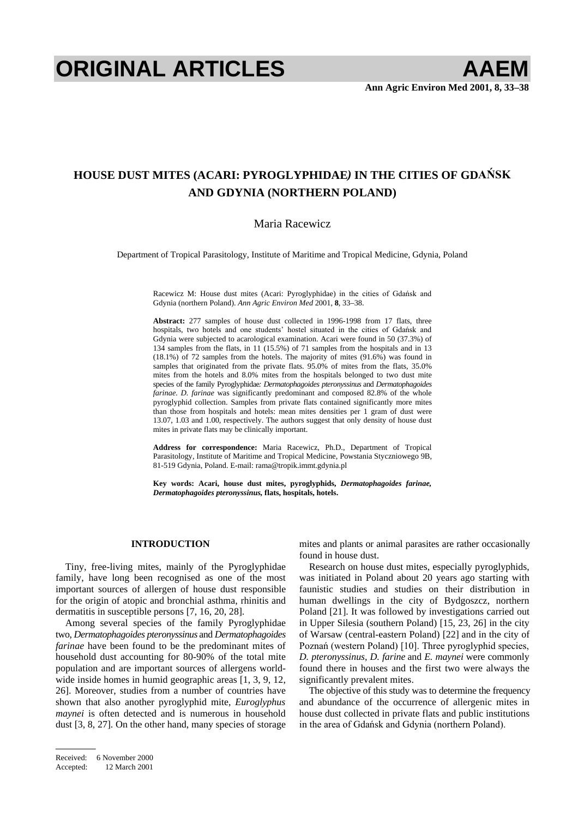# **ORIGINAL ARTICLES AAEM**

## **HOUSE DUST MITES (ACARI: PYROGLYPHIDAE) IN THE CITIES OF GDANSK AND GDYNIA (NORTHERN POLAND)**

#### Maria Racewicz

Department of Tropical Parasitology, Institute of Maritime and Tropical Medicine, Gdynia, Poland

Racewicz M: House dust mites (Acari: Pyroglyphidae) in the cities of Gdańsk and Gdynia (northern Poland). *Ann Agric Environ Med* 2001, **8**, 33–38.

**Abstract:** 277 samples of house dust collected in 1996-1998 from 17 flats, three hospitals, two hotels and one students' hostel situated in the cities of Gdańsk and Gdynia were subjected to acarological examination. Acari were found in 50 (37.3%) of 134 samples from the flats, in 11 (15.5%) of 71 samples from the hospitals and in 13 (18.1%) of 72 samples from the hotels. The majority of mites (91.6%) was found in samples that originated from the private flats. 95.0% of mites from the flats, 35.0% mites from the hotels and 8.0% mites from the hospitals belonged to two dust mite species of the family Pyroglyphidae*: Dermatophagoides pteronyssinus* and *Dermatophagoides farinae. D. farinae* was significantly predominant and composed 82.8% of the whole pyroglyphid collection. Samples from private flats contained significantly more mites than those from hospitals and hotels: mean mites densities per 1 gram of dust were 13.07, 1.03 and 1.00, respectively. The authors suggest that only density of house dust mites in private flats may be clinically important.

**Address for correspondence:** Maria Racewicz, Ph.D., Department of Tropical Parasitology, Institute of Maritime and Tropical Medicine, Powstania Styczniowego 9B, 81-519 Gdynia, Poland. E-mail: rama@tropik.immt.gdynia.pl

**Key words: Acari, house dust mites, pyroglyphids,** *Dermatophagoides farinae, Dermatophagoides pteronyssinus,* **flats, hospitals, hotels.** 

### **INTRODUCTION**

Tiny, free-living mites, mainly of the Pyroglyphidae family, have long been recognised as one of the most important sources of allergen of house dust responsible for the origin of atopic and bronchial asthma, rhinitis and dermatitis in susceptible persons [7, 16, 20, 28].

Among several species of the family Pyroglyphidae two, *Dermatophagoides pteronyssinus* and *Dermatophagoides farinae* have been found to be the predominant mites of household dust accounting for 80-90% of the total mite population and are important sources of allergens worldwide inside homes in humid geographic areas [1, 3, 9, 12, 26]. Moreover, studies from a number of countries have shown that also another pyroglyphid mite, *Euroglyphus maynei* is often detected and is numerous in household dust [3, 8, 27]. On the other hand, many species of storage mites and plants or animal parasites are rather occasionally found in house dust.

Research on house dust mites, especially pyroglyphids, was initiated in Poland about 20 years ago starting with faunistic studies and studies on their distribution in human dwellings in the city of Bydgoszcz, northern Poland [21]. It was followed by investigations carried out in Upper Silesia (southern Poland) [15, 23, 26] in the city of Warsaw (central-eastern Poland) [22] and in the city of Poznań (western Poland) [10]. Three pyroglyphid species, *D. pteronyssinus, D. farine* and *E. maynei* were commonly found there in houses and the first two were always the significantly prevalent mites.

The objective of this study was to determine the frequency and abundance of the occurrence of allergenic mites in house dust collected in private flats and public institutions in the area of Gdańsk and Gdynia (northern Poland).

Received: 6 November 2000 Accepted: 12 March 2001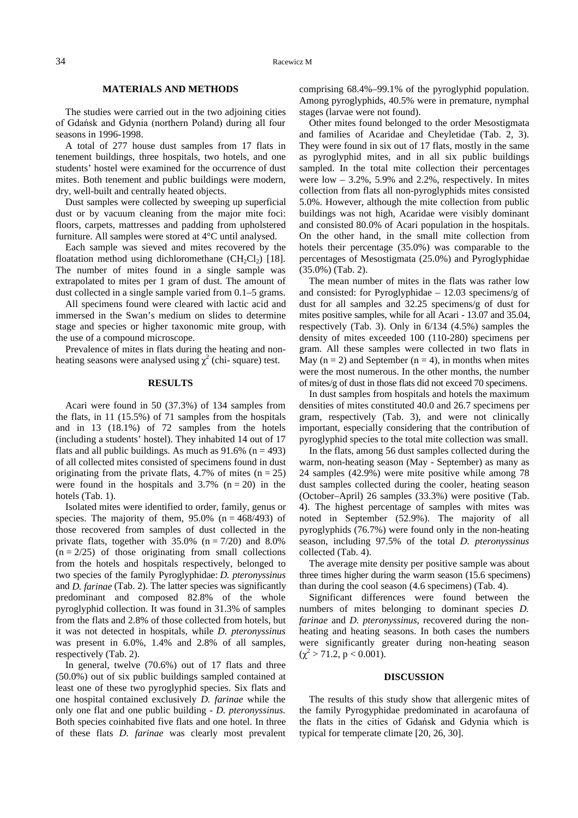#### **MATERIALS AND METHODS**

The studies were carried out in the two adjoining cities of Gdańsk and Gdynia (northern Poland) during all four seasons in 1996-1998.

A total of 277 house dust samples from 17 flats in tenement buildings, three hospitals, two hotels, and one students' hostel were examined for the occurrence of dust mites. Both tenement and public buildings were modern, dry, well-built and centrally heated objects.

Dust samples were collected by sweeping up superficial dust or by vacuum cleaning from the major mite foci: floors, carpets, mattresses and padding from upholstered furniture. All samples were stored at 4°C until analysed.

Each sample was sieved and mites recovered by the floatation method using dichloromethane  $(CH_2Cl_2)$  [18]. The number of mites found in a single sample was extrapolated to mites per 1 gram of dust. The amount of dust collected in a single sample varied from 0.1–5 grams.

All specimens found were cleared with lactic acid and immersed in the Swan's medium on slides to determine stage and species or higher taxonomic mite group, with the use of a compound microscope.

Prevalence of mites in flats during the heating and nonheating seasons were analysed using  $\chi^2$  (chi-square) test.

#### **RESULTS**

Acari were found in 50 (37.3%) of 134 samples from the flats, in 11 (15.5%) of 71 samples from the hospitals and in 13 (18.1%) of 72 samples from the hotels (including a students' hostel). They inhabited 14 out of 17 flats and all public buildings. As much as  $91.6\%$  (n = 493) of all collected mites consisted of specimens found in dust originating from the private flats, 4.7% of mites  $(n = 25)$ were found in the hospitals and  $3.7\%$  (n = 20) in the hotels (Tab. 1).

Isolated mites were identified to order, family, genus or species. The majority of them,  $95.0\%$  (n = 468/493) of those recovered from samples of dust collected in the private flats, together with  $35.0\%$  (n = 7/20) and 8.0%  $(n = 2/25)$  of those originating from small collections from the hotels and hospitals respectively, belonged to two species of the family Pyroglyphidae: *D. pteronyssinus*  and *D. farinae* (Tab. 2). The latter species was significantly predominant and composed 82.8% of the whole pyroglyphid collection. It was found in 31.3% of samples from the flats and 2.8% of those collected from hotels, but it was not detected in hospitals, while *D. pteronyssinus*  was present in 6.0%, 1.4% and 2.8% of all samples, respectively (Tab. 2).

In general, twelve (70.6%) out of 17 flats and three (50.0%) out of six public buildings sampled contained at least one of these two pyroglyphid species. Six flats and one hospital contained exclusively *D. farinae* while the only one flat and one public building - *D. pteronyssinus.* Both species coinhabited five flats and one hotel. In three of these flats *D. farinae* was clearly most prevalent

comprising 68.4%–99.1% of the pyroglyphid population. Among pyroglyphids, 40.5% were in premature, nymphal stages (larvae were not found).

Other mites found belonged to the order Mesostigmata and families of Acaridae and Cheyletidae (Tab. 2, 3). They were found in six out of 17 flats, mostly in the same as pyroglyphid mites, and in all six public buildings sampled. In the total mite collection their percentages were  $low - 3.2\%$ , 5.9% and 2.2%, respectively. In mites collection from flats all non-pyroglyphids mites consisted 5.0%. However, although the mite collection from public buildings was not high, Acaridae were visibly dominant and consisted 80.0% of Acari population in the hospitals. On the other hand, in the small mite collection from hotels their percentage (35.0%) was comparable to the percentages of Mesostigmata (25.0%) and Pyroglyphidae (35.0%) (Tab. 2).

The mean number of mites in the flats was rather low and consisted: for Pyroglyphidae – 12.03 specimens/g of dust for all samples and 32.25 specimens/g of dust for mites positive samples, while for all Acari - 13.07 and 35.04, respectively (Tab. 3). Only in 6/134 (4.5%) samples the density of mites exceeded 100 (110-280) specimens per gram. All these samples were collected in two flats in May ( $n = 2$ ) and September ( $n = 4$ ), in months when mites were the most numerous. In the other months, the number of mites/g of dust in those flats did not exceed 70 specimens.

In dust samples from hospitals and hotels the maximum densities of mites constituted 40.0 and 26.7 specimens per gram, respectively (Tab. 3), and were not clinically important, especially considering that the contribution of pyroglyphid species to the total mite collection was small.

In the flats, among 56 dust samples collected during the warm, non-heating season (May - September) as many as 24 samples (42.9%) were mite positive while among 78 dust samples collected during the cooler, heating season (October–April) 26 samples (33.3%) were positive (Tab. 4). The highest percentage of samples with mites was noted in September (52.9%). The majority of all pyroglyphids (76.7%) were found only in the non-heating season, including 97.5% of the total *D. pteronyssinus* collected (Tab. 4).

The average mite density per positive sample was about three times higher during the warm season (15.6 specimens) than during the cool season (4.6 specimens) (Tab. 4).

Significant differences were found between the numbers of mites belonging to dominant species *D. farinae* and *D. pteronyssinus*, recovered during the nonheating and heating seasons. In both cases the numbers were significantly greater during non-heating season  $(\chi^2 > 71.2, p < 0.001).$ 

#### **DISCUSSION**

The results of this study show that allergenic mites of the family Pyrogyphidae predominated in acarofauna of the flats in the cities of Gdańsk and Gdynia which is typical for temperate climate [20, 26, 30].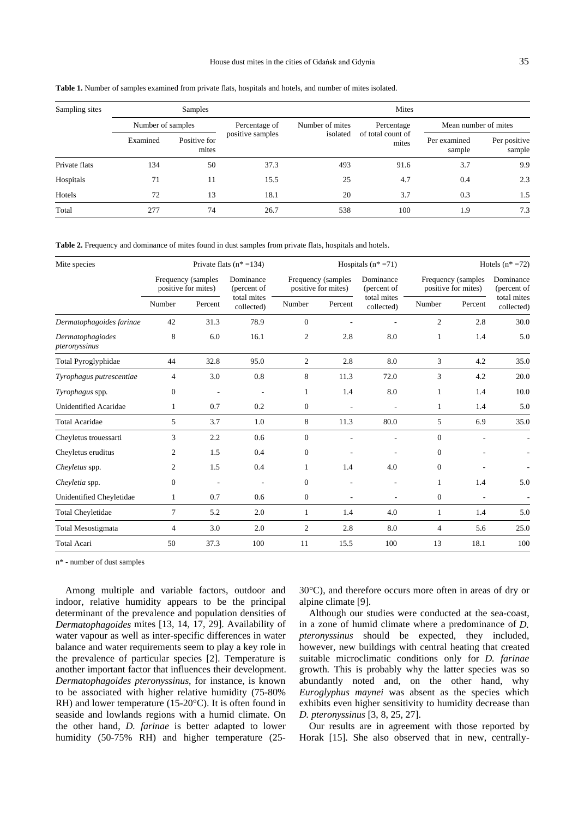#### House dust mites in the cities of Gdańsk and Gdynia  $35$

| Sampling sites |                   | <b>Samples</b>        |                  | Mites           |                            |                        |                        |  |  |  |  |
|----------------|-------------------|-----------------------|------------------|-----------------|----------------------------|------------------------|------------------------|--|--|--|--|
|                | Number of samples |                       | Percentage of    | Number of mites | Percentage                 | Mean number of mites   |                        |  |  |  |  |
|                | Examined          | Positive for<br>mites | positive samples | isolated        | of total count of<br>mites | Per examined<br>sample | Per positive<br>sample |  |  |  |  |
| Private flats  | 134               | 50                    | 37.3             | 493             | 91.6                       | 3.7                    | 9.9                    |  |  |  |  |
| Hospitals      | 71                | 11                    | 15.5             | 25              | 4.7                        | 0.4                    | 2.3                    |  |  |  |  |
| Hotels         | 72                | 13                    | 18.1             | 20              | 3.7                        | 0.3                    | 1.5                    |  |  |  |  |
| Total          | 277               | 74                    | 26.7             | 538             | 100                        | 1.9                    | 7.3                    |  |  |  |  |

**Table 1.** Number of samples examined from private flats, hospitals and hotels, and number of mites isolated.

**Table 2.** Frequency and dominance of mites found in dust samples from private flats, hospitals and hotels.

| Mite species                      |                |                                           | Private flats $(n* = 134)$ |                |                                           | Hospitals $(n \times 71)$ | Hotels $(n^* = 72)$                       |                          |                           |  |
|-----------------------------------|----------------|-------------------------------------------|----------------------------|----------------|-------------------------------------------|---------------------------|-------------------------------------------|--------------------------|---------------------------|--|
|                                   |                | Frequency (samples<br>positive for mites) | Dominance<br>(percent of   |                | Frequency (samples<br>positive for mites) | Dominance<br>(percent of  | Frequency (samples<br>positive for mites) | Dominance<br>(percent of |                           |  |
|                                   | Number         | Percent                                   | total mites<br>collected)  | Number         | Percent                                   | total mites<br>collected) | Number                                    | Percent                  | total mites<br>collected) |  |
| Dermatophagoides farinae          | 42             | 31.3                                      | 78.9                       | $\mathbf{0}$   |                                           |                           | $\overline{c}$                            | 2.8                      | 30.0                      |  |
| Dermatophagiodes<br>pteronyssinus | 8              | 6.0                                       | 16.1                       | $\overline{2}$ | 2.8                                       | 8.0                       | 1                                         | 1.4                      | 5.0                       |  |
| Total Pyroglyphidae               | 44             | 32.8                                      | 95.0                       | $\overline{c}$ | 2.8                                       | 8.0                       | 3                                         | 4.2                      | 35.0                      |  |
| Tyrophagus putrescentiae          | $\overline{4}$ | 3.0                                       | 0.8                        | 8              | 11.3                                      | 72.0                      | 3                                         | 4.2                      | 20.0                      |  |
| Tyrophagus spp.                   | $\overline{0}$ |                                           |                            | $\mathbf{1}$   | 1.4                                       | 8.0                       | 1                                         | 1.4                      | 10.0                      |  |
| <b>Unidentified Acaridae</b>      | 1              | 0.7                                       | 0.2                        | $\overline{0}$ | $\overline{\phantom{a}}$                  | ÷,                        | 1                                         | 1.4                      | 5.0                       |  |
| <b>Total Acaridae</b>             | 5              | 3.7                                       | 1.0                        | 8              | 11.3                                      | 80.0                      | 5                                         | 6.9                      | 35.0                      |  |
| Cheyletus trouessarti             | 3              | 2.2                                       | 0.6                        | $\mathbf{0}$   |                                           |                           | $\mathbf{0}$                              |                          |                           |  |
| Cheyletus eruditus                | 2              | 1.5                                       | 0.4                        | $\overline{0}$ |                                           |                           | $\boldsymbol{0}$                          |                          |                           |  |
| Cheyletus spp.                    | 2              | 1.5                                       | 0.4                        | 1              | 1.4                                       | 4.0                       | $\mathbf{0}$                              |                          |                           |  |
| Cheyletia spp.                    | $\overline{0}$ |                                           |                            | $\mathbf{0}$   |                                           |                           | 1                                         | 1.4                      | 5.0                       |  |
| Unidentified Cheyletidae          | 1              | 0.7                                       | 0.6                        | $\mathbf{0}$   | ٠                                         | $\overline{\phantom{a}}$  | $\boldsymbol{0}$                          | $\overline{\phantom{a}}$ |                           |  |
| <b>Total Cheyletidae</b>          | $\overline{7}$ | 5.2                                       | 2.0                        | 1              | 1.4                                       | 4.0                       | 1                                         | 1.4                      | 5.0                       |  |
| <b>Total Mesostigmata</b>         | $\overline{4}$ | 3.0                                       | 2.0                        | $\overline{2}$ | 2.8                                       | 8.0                       | $\overline{4}$                            | 5.6                      | 25.0                      |  |
| <b>Total Acari</b>                | 50             | 37.3                                      | 100                        | 11             | 15.5                                      | 100                       | 13                                        | 18.1                     | 100                       |  |

n\* - number of dust samples

Among multiple and variable factors, outdoor and indoor, relative humidity appears to be the principal determinant of the prevalence and population densities of *Dermatophagoides* mites [13, 14, 17, 29]. Availability of water vapour as well as inter-specific differences in water balance and water requirements seem to play a key role in the prevalence of particular species [2]. Temperature is another important factor that influences their development. *Dermatophagoides pteronyssinus*, for instance, is known to be associated with higher relative humidity (75-80% RH) and lower temperature (15-20°C). It is often found in seaside and lowlands regions with a humid climate. On the other hand, *D. farinae* is better adapted to lower humidity (50-75% RH) and higher temperature (2530°C), and therefore occurs more often in areas of dry or alpine climate [9].

Although our studies were conducted at the sea-coast, in a zone of humid climate where a predominance of *D. pteronyssinus* should be expected, they included, however, new buildings with central heating that created suitable microclimatic conditions only for *D. farinae* growth*.* This is probably why the latter species was so abundantly noted and, on the other hand, why *Euroglyphus maynei* was absent as the species which exhibits even higher sensitivity to humidity decrease than *D. pteronyssinus* [3, 8, 25, 27].

Our results are in agreement with those reported by Horak [15]. She also observed that in new, centrally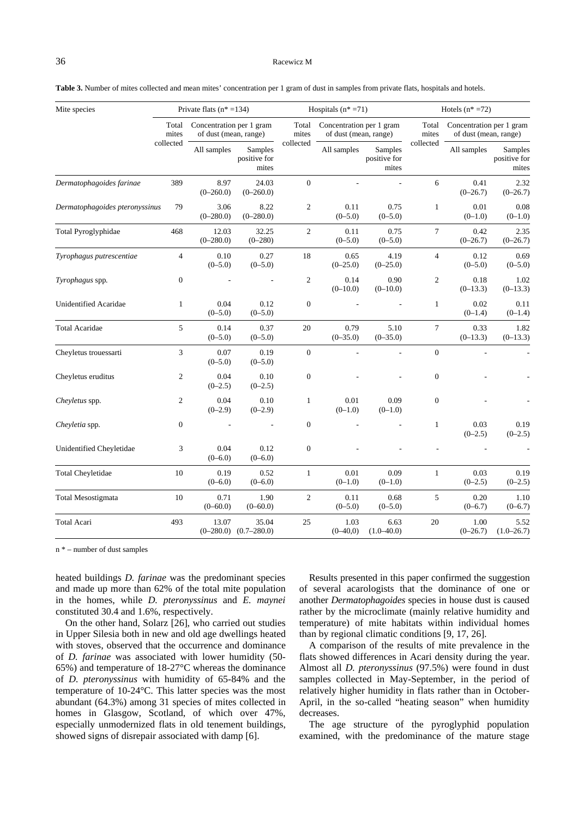**Table 3.** Number of mites collected and mean mites' concentration per 1 gram of dust in samples from private flats, hospitals and hotels.

| Mite species                         |                  | Private flats $(n* = 134)$                        |                                  |                  | Hospitals $(n^*=71)$                              |                                  | Hotels $(n \times 72)$ |                                                   |                                  |  |
|--------------------------------------|------------------|---------------------------------------------------|----------------------------------|------------------|---------------------------------------------------|----------------------------------|------------------------|---------------------------------------------------|----------------------------------|--|
|                                      | Total<br>mites   | Concentration per 1 gram<br>of dust (mean, range) |                                  | Total<br>mites   | Concentration per 1 gram<br>of dust (mean, range) |                                  | Total<br>mites         | Concentration per 1 gram<br>of dust (mean, range) |                                  |  |
|                                      | collected        | All samples                                       | Samples<br>positive for<br>mites | collected        | All samples                                       | Samples<br>positive for<br>mites | collected              | All samples                                       | Samples<br>positive for<br>mites |  |
| Dermatophagoides farinae             | 389              | 8.97<br>$(0-260.0)$                               | 24.03<br>$(0-260.0)$             | $\boldsymbol{0}$ |                                                   |                                  | 6                      | 0.41<br>$(0-26.7)$                                | 2.32<br>$(0-26.7)$               |  |
| 79<br>Dermatophagoides pteronyssinus |                  | 3.06<br>$(0 - 280.0)$                             | 8.22<br>$(0-280.0)$              | $\sqrt{2}$       | 0.11<br>$(0 - 5.0)$                               | 0.75<br>$(0-5.0)$                | $\mathbf{1}$           | 0.01<br>$(0-1.0)$                                 | 0.08<br>$(0-1.0)$                |  |
| Total Pyroglyphidae                  | 468              | 12.03<br>$(0 - 280.0)$                            | 32.25<br>$(0 - 280)$             | $\mathfrak{2}$   | 0.11<br>$(0 - 5.0)$                               | 0.75<br>$(0 - 5.0)$              | $\tau$                 | 0.42<br>$(0-26.7)$                                | 2.35<br>$(0-26.7)$               |  |
| Tyrophagus putrescentiae             |                  | 0.10<br>$(0 - 5.0)$                               | 0.27<br>$(0 - 5.0)$              | 18               | 0.65<br>$(0-25.0)$                                | 4.19<br>$(0-25.0)$               | $\overline{4}$         | 0.12<br>$(0 - 5.0)$                               | 0.69<br>$(0 - 5.0)$              |  |
| Tyrophagus spp.                      | $\boldsymbol{0}$ |                                                   |                                  | $\sqrt{2}$       | 0.14<br>$(0-10.0)$                                | 0.90<br>$(0-10.0)$               | $\mathbf{2}$           | 0.18<br>$(0-13.3)$                                | 1.02<br>$(0-13.3)$               |  |
| <b>Unidentified Acaridae</b>         | $\mathbf{1}$     | 0.04<br>$(0 - 5.0)$                               | 0.12<br>$(0 - 5.0)$              | $\boldsymbol{0}$ |                                                   |                                  | $\mathbf{1}$           | 0.02<br>$(0-1.4)$                                 | 0.11<br>$(0-1.4)$                |  |
| <b>Total Acaridae</b>                | 5                | 0.14<br>$(0 - 5.0)$                               | 0.37<br>$(0 - 5.0)$              | 20               | 0.79<br>$(0 - 35.0)$                              | 5.10<br>$(0 - 35.0)$             | 7                      | 0.33<br>$(0-13.3)$                                | 1.82<br>$(0-13.3)$               |  |
| Cheyletus trouessarti                | 3                | 0.07<br>$(0 - 5.0)$                               | 0.19<br>$(0-5.0)$                | $\boldsymbol{0}$ |                                                   |                                  | $\boldsymbol{0}$       |                                                   |                                  |  |
| Cheyletus eruditus                   | $\mathfrak{2}$   | 0.04<br>$(0-2.5)$                                 | 0.10<br>$(0-2.5)$                | $\boldsymbol{0}$ |                                                   |                                  | $\boldsymbol{0}$       |                                                   |                                  |  |
| Cheyletus spp.                       | 2                | 0.04<br>$(0-2.9)$                                 | 0.10<br>$(0-2.9)$                | $\mathbf{1}$     | 0.01<br>$(0-1.0)$                                 | 0.09<br>$(0-1.0)$                | $\boldsymbol{0}$       |                                                   |                                  |  |
| Cheyletia spp.                       | $\overline{0}$   |                                                   |                                  | $\mathbf{0}$     |                                                   |                                  | $\mathbf{1}$           | 0.03<br>$(0-2.5)$                                 | 0.19<br>$(0-2.5)$                |  |
| Unidentified Cheyletidae             | 3                | 0.04<br>$(0 - 6.0)$                               | 0.12<br>$(0-6.0)$                | $\mathbf{0}$     |                                                   |                                  |                        |                                                   |                                  |  |
| <b>Total Cheyletidae</b>             | 10               | 0.19<br>$(0-6.0)$                                 | 0.52<br>$(0-6.0)$                | $\mathbf{1}$     | 0.01<br>$(0-1.0)$                                 | 0.09<br>$(0-1.0)$                | $\mathbf{1}$           | 0.03<br>$(0-2.5)$                                 | 0.19<br>$(0-2.5)$                |  |
| <b>Total Mesostigmata</b>            | 10               | 0.71<br>$(0 - 60.0)$                              | 1.90<br>$(0 - 60.0)$             | $\overline{2}$   | 0.11<br>$(0 - 5.0)$                               | 0.68<br>$(0-5.0)$                | 5                      | 0.20<br>$(0-6.7)$                                 | 1.10<br>$(0-6.7)$                |  |
| Total Acari                          | 493              | 13.07<br>$(0-280.0)$                              | 35.04<br>$(0.7 - 280.0)$         | 25               | 1.03<br>$(0 - 40, 0)$                             | 6.63<br>$(1.0 - 40.0)$           | 20                     | 1.00<br>$(0-26.7)$                                | 5.52<br>$(1.0 - 26.7)$           |  |

n \* – number of dust samples

heated buildings *D. farinae* was the predominant species and made up more than 62% of the total mite population in the homes, while *D. pteronyssinus* and *E. maynei* constituted 30.4 and 1.6%, respectively.

On the other hand, Solarz [26], who carried out studies in Upper Silesia both in new and old age dwellings heated with stoves, observed that the occurrence and dominance of *D. farinae* was associated with lower humidity (50- 65%) and temperature of 18-27°C whereas the dominance of *D. pteronyssinus* with humidity of 65-84% and the temperature of 10-24°C. This latter species was the most abundant (64.3%) among 31 species of mites collected in homes in Glasgow, Scotland, of which over 47%, especially unmodernized flats in old tenement buildings, showed signs of disrepair associated with damp [6].

Results presented in this paper confirmed the suggestion of several acarologists that the dominance of one or another *Dermatophagoides* species in house dust is caused rather by the microclimate (mainly relative humidity and temperature) of mite habitats within individual homes than by regional climatic conditions [9, 17, 26].

A comparison of the results of mite prevalence in the flats showed differences in Acari density during the year. Almost all *D. pteronyssinus* (97.5%) were found in dust samples collected in May-September, in the period of relatively higher humidity in flats rather than in October-April, in the so-called "heating season" when humidity decreases.

The age structure of the pyroglyphid population examined, with the predominance of the mature stage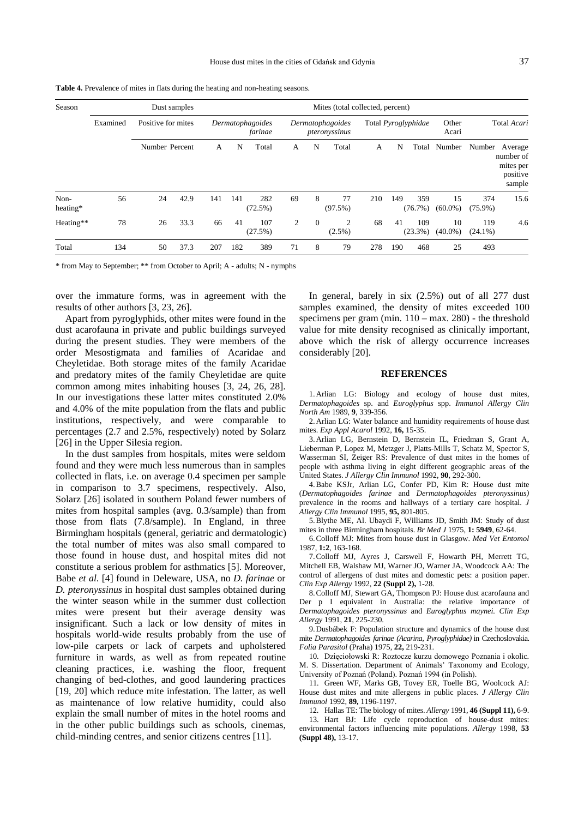| Season           |          | Dust samples       |      | Mites (total collected, percent) |     |                |                |                                   |                |     |                            |                   |                  |                                                         |      |
|------------------|----------|--------------------|------|----------------------------------|-----|----------------|----------------|-----------------------------------|----------------|-----|----------------------------|-------------------|------------------|---------------------------------------------------------|------|
|                  | Examined | Positive for mites |      | Dermatophagoides<br>farinae      |     |                |                | Dermatophagoides<br>pteronyssinus |                |     | Total <i>Pyroglyphidae</i> |                   |                  | Total Acari                                             |      |
|                  |          | Number Percent     |      | A                                | N   | Total          | A              | N                                 | Total          | A   | N<br>Total                 | Number            | Number           | Average<br>number of<br>mites per<br>positive<br>sample |      |
| Non-<br>heating* | 56       | 24                 | 42.9 | 141                              | 141 | 282<br>(72.5%) | 69             | 8                                 | 77<br>(97.5%)  | 210 | 149                        | 359<br>(76.7%)    | 15<br>$(60.0\%)$ | 374<br>$(75.9\%)$                                       | 15.6 |
| Heating**        | 78       | 26                 | 33.3 | 66                               | 41  | 107<br>(27.5%) | $\overline{c}$ | $\overline{0}$                    | 2<br>$(2.5\%)$ | 68  | 41                         | 109<br>$(23.3\%)$ | 10<br>$(40.0\%)$ | 119<br>$(24.1\%)$                                       | 4.6  |
| Total            | 134      | 50                 | 37.3 | 207                              | 182 | 389            | 71             | 8                                 | 79             | 278 | 190                        | 468               | 25               | 493                                                     |      |

**Table 4.** Prevalence of mites in flats during the heating and non-heating seasons.

\* from May to September; \*\* from October to April; A - adults; N - nymphs

over the immature forms, was in agreement with the results of other authors [3, 23, 26].

Apart from pyroglyphids, other mites were found in the dust acarofauna in private and public buildings surveyed during the present studies. They were members of the order Mesostigmata and families of Acaridae and Cheyletidae. Both storage mites of the family Acaridae and predatory mites of the family Cheyletidae are quite common among mites inhabiting houses [3, 24, 26, 28]. In our investigations these latter mites constituted 2.0% and 4.0% of the mite population from the flats and public institutions, respectively, and were comparable to percentages (2.7 and 2.5%, respectively) noted by Solarz [26] in the Upper Silesia region.

In the dust samples from hospitals, mites were seldom found and they were much less numerous than in samples collected in flats, i.e. on average 0.4 specimen per sample in comparison to 3.7 specimens, respectively. Also, Solarz [26] isolated in southern Poland fewer numbers of mites from hospital samples (avg. 0.3/sample) than from those from flats (7.8/sample). In England, in three Birmingham hospitals (general, geriatric and dermatologic) the total number of mites was also small compared to those found in house dust, and hospital mites did not constitute a serious problem for asthmatics [5]. Moreover, Babe *et al*. [4] found in Deleware, USA, no *D. farinae* or *D. pteronyssinus* in hospital dust samples obtained during the winter season while in the summer dust collection mites were present but their average density was insignificant. Such a lack or low density of mites in hospitals world-wide results probably from the use of low-pile carpets or lack of carpets and upholstered furniture in wards, as well as from repeated routine cleaning practices, i.e. washing the floor, frequent changing of bed-clothes, and good laundering practices [19, 20] which reduce mite infestation. The latter, as well as maintenance of low relative humidity, could also explain the small number of mites in the hotel rooms and in the other public buildings such as schools, cinemas, child-minding centres, and senior citizens centres [11].

In general, barely in six (2.5%) out of all 277 dust samples examined, the density of mites exceeded 100 specimens per gram (min.  $110 - \text{max}$ . 280) - the threshold value for mite density recognised as clinically important, above which the risk of allergy occurrence increases considerably [20].

#### **REFERENCES**

1. Arlian LG: Biology and ecology of house dust mites, *Dermatophagoides* sp. and *Euroglyphus* spp. *Immunol Allergy Clin North Am* 1989, **9**, 339-356.

2. Arlian LG: Water balance and humidity requirements of house dust mites. *Exp Appl Acarol* 1992, **16,** 15-35.

3. Arlian LG, Bernstein D, Bernstein IL, Friedman S, Grant A, Lieberman P, Lopez M, Metzger J, Platts-Mills T, Schatz M, Spector S, Wasserman SI, Zeiger RS: Prevalence of dust mites in the homes of people with asthma living in eight different geographic areas of the United States. *J Allergy Clin Immunol* 1992, **90**, 292-300.

4. Babe KSJr, Arlian LG, Confer PD, Kim R: House dust mite (*Dermatophagoides farinae* and *Dermatophagoides pteronyssinus)* prevalence in the rooms and hallways of a tertiary care hospital. *J Allergy Clin Immunol* 1995, **95,** 801-805.

5. Blythe ME, Al. Ubaydi F, Williams JD, Smith JM: Study of dust mites in three Birmingham hospitals. *Br Med J* 1975, **1: 5949**, 62-64.

6. Colloff MJ: Mites from house dust in Glasgow. *Med Vet Entomol*  1987, **1:2**, 163-168.

7. Colloff MJ, Ayres J, Carswell F, Howarth PH, Merrett TG, Mitchell EB, Walshaw MJ, Warner JO, Warner JA, Woodcock AA: The control of allergens of dust mites and domestic pets: a position paper. *Clin Exp Allergy* 1992, **22 (Suppl 2),** 1-28.

8. Colloff MJ, Stewart GA, Thompson PJ: House dust acarofauna and Der p I equivalent in Australia: the relative importance of *Dermatophagoides pteronyssinus* and *Euroglyphus maynei. Clin Exp Allergy* 1991, **21**, 225-230.

9. Dusbábek F: Population structure and dynamics of the house dust mite *Dermatophagoides farinae (Acarina, Pyroglyphidae)* in Czechoslovakia. *Folia Parasitol* (Praha) 1975, **22,** 219-231.

10. Dzięciołowski R: Roztocze kurzu domowego Poznania i okolic. M. S. Dissertation. Department of Animals' Taxonomy and Ecology, University of Poznań (Poland). Poznań 1994 (in Polish).

11. Green WF, Marks GB, Tovey ER, Toelle BG, Woolcock AJ: House dust mites and mite allergens in public places. *J Allergy Clin Immunol* 1992, **89,** 1196-1197.

12. Hallas TE: The biology of mites. *Allergy* 1991, **46 (Suppl 11),** 6-9.

13. Hart BJ: Life cycle reproduction of house-dust mites: environmental factors influencing mite populations. *Allergy* 1998, **53 (Suppl 48),** 13-17.